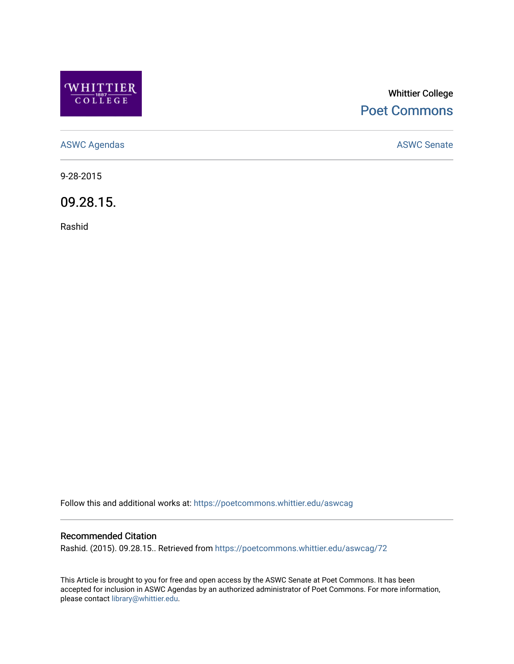

## Whittier College [Poet Commons](https://poetcommons.whittier.edu/)

[ASWC Agendas](https://poetcommons.whittier.edu/aswcag) **ASWC Senate** 

9-28-2015

09.28.15.

Rashid

Follow this and additional works at: [https://poetcommons.whittier.edu/aswcag](https://poetcommons.whittier.edu/aswcag?utm_source=poetcommons.whittier.edu%2Faswcag%2F72&utm_medium=PDF&utm_campaign=PDFCoverPages) 

## Recommended Citation

Rashid. (2015). 09.28.15.. Retrieved from [https://poetcommons.whittier.edu/aswcag/72](https://poetcommons.whittier.edu/aswcag/72?utm_source=poetcommons.whittier.edu%2Faswcag%2F72&utm_medium=PDF&utm_campaign=PDFCoverPages)

This Article is brought to you for free and open access by the ASWC Senate at Poet Commons. It has been accepted for inclusion in ASWC Agendas by an authorized administrator of Poet Commons. For more information, please contact [library@whittier.edu](mailto:library@whittier.edu).